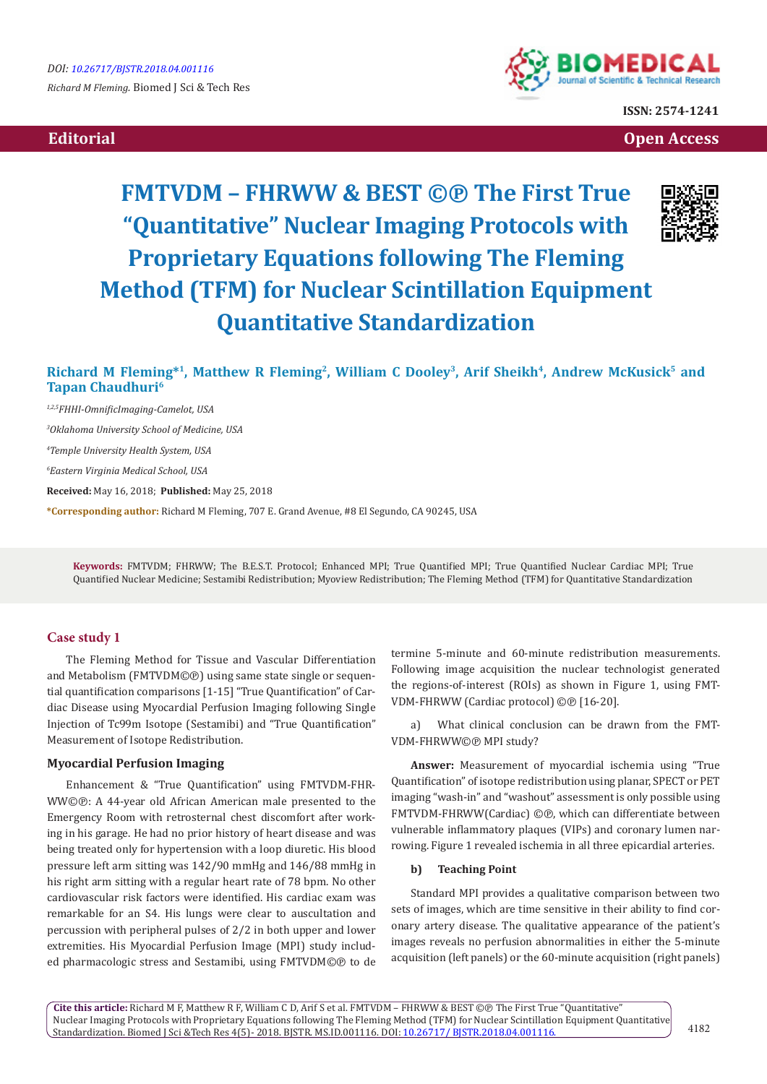



**ISSN: 2574-1241**

 **Editorial Open Access** 

# **FMTVDM – FHRWW & BEST ©℗ The First True "Quantitative" Nuclear Imaging Protocols with Proprietary Equations following The Fleming Method (TFM) for Nuclear Scintillation Equipment Quantitative Standardization**



## **Richard M Fleming\*<sup>1</sup>, Matthew R Fleming<sup>2</sup>, William C Dooley<sup>3</sup>, Arif Sheikh<sup>4</sup>, Andrew McKusick<sup>5</sup> and Tapan Chaudhuri<sup>6</sup>**

*1,2,5FHHI-OmnificImaging-Camelot, USA 3 Oklahoma University School of Medicine, USA 4 Temple University Health System, USA 6 Eastern Virginia Medical School, USA* **Received:** May 16, 2018; **Published:** May 25, 2018 **\*Corresponding author:** Richard M Fleming, 707 E. Grand Avenue, #8 El Segundo, CA 90245, USA

**Keywords:** FMTVDM; FHRWW; The B.E.S.T. Protocol; Enhanced MPI; True Quantified MPI; True Quantified Nuclear Cardiac MPI; True Quantified Nuclear Medicine; Sestamibi Redistribution; Myoview Redistribution; The Fleming Method (TFM) for Quantitative Standardization

## **Case study 1**

The Fleming Method for Tissue and Vascular Differentiation and Metabolism (FMTVDM©®) using same state single or sequential quantification comparisons [1-15] "True Quantification" of Cardiac Disease using Myocardial Perfusion Imaging following Single Injection of Tc99m Isotope (Sestamibi) and "True Quantification" Measurement of Isotope Redistribution.

## **Myocardial Perfusion Imaging**

Enhancement & "True Quantification" using FMTVDM-FHR-WW©℗: A 44-year old African American male presented to the Emergency Room with retrosternal chest discomfort after working in his garage. He had no prior history of heart disease and was being treated only for hypertension with a loop diuretic. His blood pressure left arm sitting was 142/90 mmHg and 146/88 mmHg in his right arm sitting with a regular heart rate of 78 bpm. No other cardiovascular risk factors were identified. His cardiac exam was remarkable for an S4. His lungs were clear to auscultation and percussion with peripheral pulses of 2/2 in both upper and lower extremities. His Myocardial Perfusion Image (MPI) study included pharmacologic stress and Sestamibi, using FMTVDM©℗ to de termine 5-minute and 60-minute redistribution measurements. Following image acquisition the nuclear technologist generated the regions-of-interest (ROIs) as shown in Figure 1, using FMT-VDM-FHRWW (Cardiac protocol) ©℗ [16-20].

a) What clinical conclusion can be drawn from the FMT-VDM-FHRWW©℗ MPI study?

**Answer:** Measurement of myocardial ischemia using "True Quantification" of isotope redistribution using planar, SPECT or PET imaging "wash-in" and "washout" assessment is only possible using FMTVDM-FHRWW(Cardiac) ©℗, which can differentiate between vulnerable inflammatory plaques (VIPs) and coronary lumen narrowing. Figure 1 revealed ischemia in all three epicardial arteries.

#### **b) Teaching Point**

Standard MPI provides a qualitative comparison between two sets of images, which are time sensitive in their ability to find coronary artery disease. The qualitative appearance of the patient's images reveals no perfusion abnormalities in either the 5-minute acquisition (left panels) or the 60-minute acquisition (right panels)

**Cite this article:** Richard M F, Matthew R F, William C D, Arif S et al. FMTVDM – FHRWW & BEST ©℗ The First True "Quantitative" Nuclear Imaging Protocols with Proprietary Equations following The Fleming Method (TFM) for Nuclear Scintillation Equipment Quantitative Standardization. Biomed J Sci &Tech Res 4(5)- 2018. BJSTR. MS.ID.001116. DOI: [10.26717/ BJSTR.2018.04.001116](http://dx.doi.org/10.26717/BJSTR.2018.04.001116).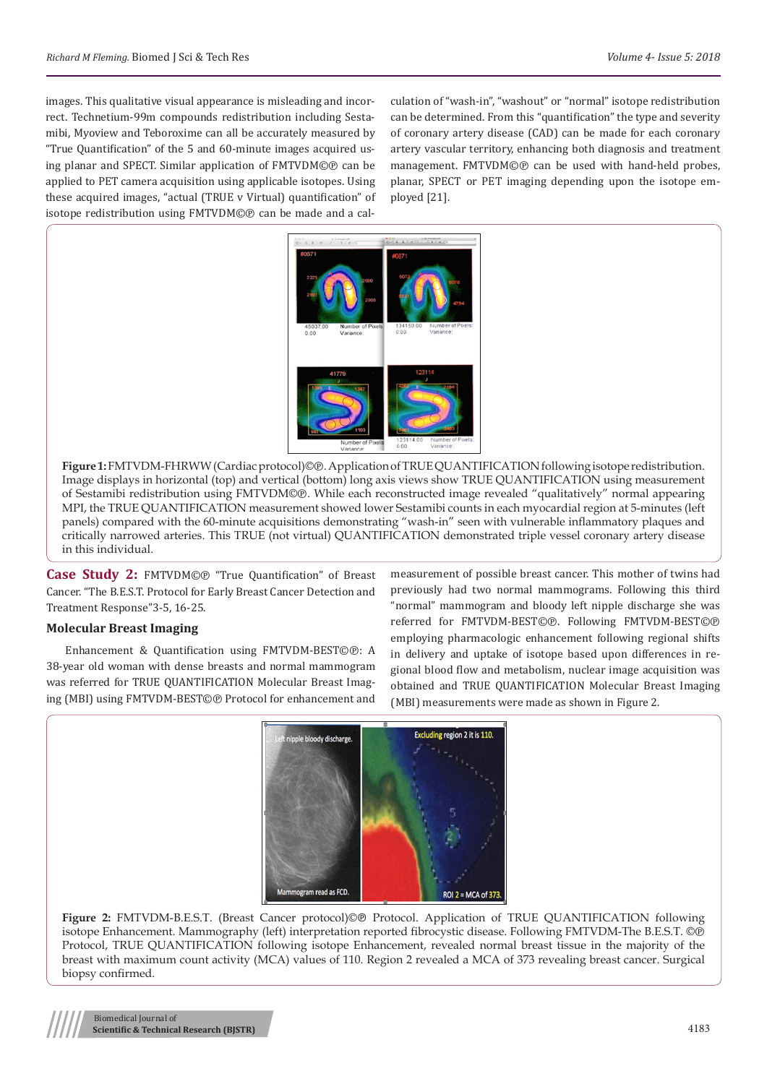images. This qualitative visual appearance is misleading and incorrect. Technetium-99m compounds redistribution including Sestamibi, Myoview and Teboroxime can all be accurately measured by "True Quantification" of the 5 and 60-minute images acquired using planar and SPECT. Similar application of FMTVDM©℗ can be applied to PET camera acquisition using applicable isotopes. Using these acquired images, "actual (TRUE v Virtual) quantification" of isotope redistribution using FMTVDM©℗ can be made and a calculation of "wash-in", "washout" or "normal" isotope redistribution can be determined. From this "quantification" the type and severity of coronary artery disease (CAD) can be made for each coronary artery vascular territory, enhancing both diagnosis and treatment management. FMTVDM©℗ can be used with hand-held probes, planar, SPECT or PET imaging depending upon the isotope employed [21].



**Figure 1:**FMTVDM-FHRWW (Cardiac protocol)©℗. Application of TRUE QUANTIFICATION following isotope redistribution. Image displays in horizontal (top) and vertical (bottom) long axis views show TRUE QUANTIFICATION using measurement of Sestamibi redistribution using FMTVDM©℗. While each reconstructed image revealed "qualitatively" normal appearing MPI, the TRUE QUANTIFICATION measurement showed lower Sestamibi counts in each myocardial region at 5-minutes (left panels) compared with the 60-minute acquisitions demonstrating "wash-in" seen with vulnerable inflammatory plaques and critically narrowed arteries. This TRUE (not virtual) QUANTIFICATION demonstrated triple vessel coronary artery disease in this individual.

**Case Study 2:** FMTVDM©℗ "True Quantification" of Breast Cancer. "The B.E.S.T. Protocol for Early Breast Cancer Detection and Treatment Response"3-5, 16-25.

## **Molecular Breast Imaging**

Enhancement & Quantification using FMTVDM-BEST©℗: A 38-year old woman with dense breasts and normal mammogram was referred for TRUE QUANTIFICATION Molecular Breast Imaging (MBI) using FMTVDM-BEST©℗ Protocol for enhancement and measurement of possible breast cancer. This mother of twins had previously had two normal mammograms. Following this third "normal" mammogram and bloody left nipple discharge she was referred for FMTVDM-BEST©℗. Following FMTVDM-BEST©℗ employing pharmacologic enhancement following regional shifts in delivery and uptake of isotope based upon differences in regional blood flow and metabolism, nuclear image acquisition was obtained and TRUE QUANTIFICATION Molecular Breast Imaging (MBI) measurements were made as shown in Figure 2.



**Figure 2:** FMTVDM-B.E.S.T. (Breast Cancer protocol)©℗ Protocol. Application of TRUE QUANTIFICATION following isotope Enhancement. Mammography (left) interpretation reported fibrocystic disease. Following FMTVDM-The B.E.S.T. ©℗ Protocol, TRUE QUANTIFICATION following isotope Enhancement, revealed normal breast tissue in the majority of the breast with maximum count activity (MCA) values of 110. Region 2 revealed a MCA of 373 revealing breast cancer. Surgical biopsy confirmed.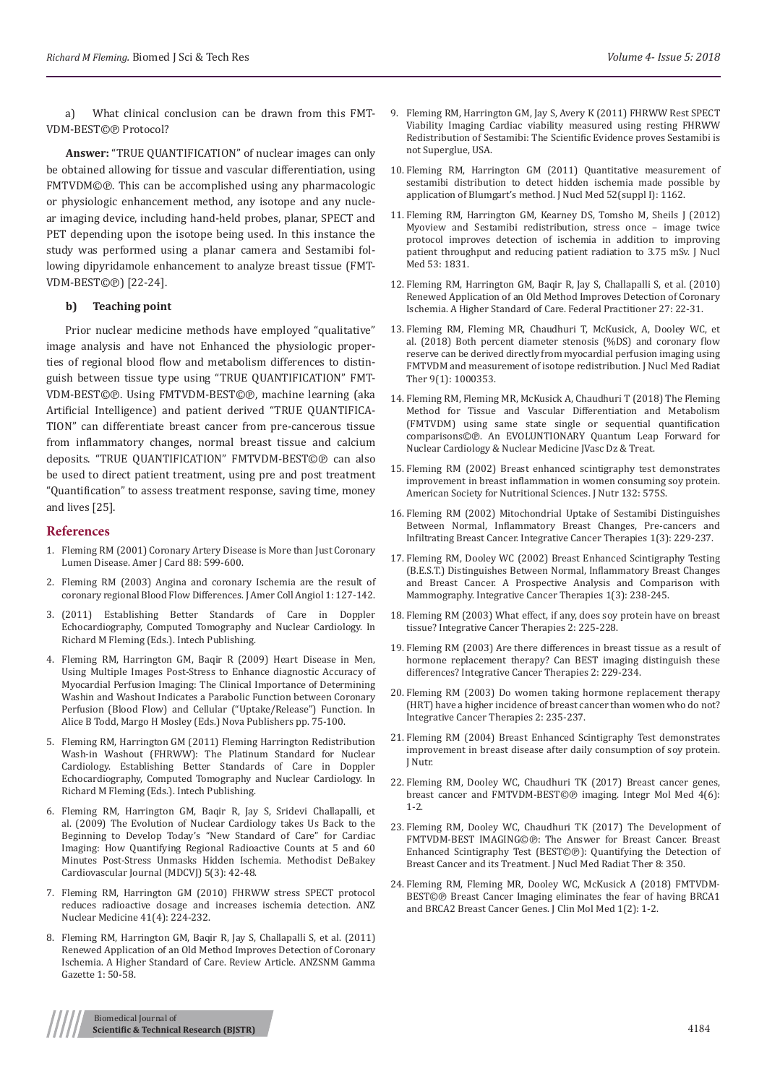a) What clinical conclusion can be drawn from this FMT-VDM-BEST©℗ Protocol?

**Answer:** "TRUE QUANTIFICATION" of nuclear images can only be obtained allowing for tissue and vascular differentiation, using FMTVDM©℗. This can be accomplished using any pharmacologic or physiologic enhancement method, any isotope and any nuclear imaging device, including hand-held probes, planar, SPECT and PET depending upon the isotope being used. In this instance the study was performed using a planar camera and Sestamibi following dipyridamole enhancement to analyze breast tissue (FMT-VDM-BEST©℗) [22-24].

#### **b) Teaching point**

Prior nuclear medicine methods have employed "qualitative" image analysis and have not Enhanced the physiologic properties of regional blood flow and metabolism differences to distinguish between tissue type using "TRUE QUANTIFICATION" FMT-VDM-BEST©℗. Using FMTVDM-BEST©℗, machine learning (aka Artificial Intelligence) and patient derived "TRUE QUANTIFICA-TION" can differentiate breast cancer from pre-cancerous tissue from inflammatory changes, normal breast tissue and calcium deposits. "TRUE QUANTIFICATION" FMTVDM-BEST©℗ can also be used to direct patient treatment, using pre and post treatment "Quantification" to assess treatment response, saving time, money and lives [25].

#### **References**

- 1. [Fleming RM \(2001\) Coronary Artery Disease is More than Just Coronary](https://www.ajconline.org/article/S0002-9149(01)01666-6/fulltext)  [Lumen Disease. Amer J Card 88: 599-600.](https://www.ajconline.org/article/S0002-9149(01)01666-6/fulltext)
- 2. Fleming RM (2003) Angina and coronary Ischemia are the result of coronary regional Blood Flow Differences. J Amer Coll Angiol 1: 127-142.
- 3. (2011) Establishing Better Standards of Care in Doppler Echocardiography, Computed Tomography and Nuclear Cardiology. In Richard M Fleming (Eds.). Intech Publishing.
- 4. Fleming RM, Harrington GM, Baqir R (2009) Heart Disease in Men, Using Multiple Images Post-Stress to Enhance diagnostic Accuracy of Myocardial Perfusion Imaging: The Clinical Importance of Determining Washin and Washout Indicates a Parabolic Function between Coronary Perfusion (Blood Flow) and Cellular ("Uptake/Release") Function. In Alice B Todd, Margo H Mosley (Eds.) Nova Publishers pp. 75-100.
- 5. Fleming RM, Harrington GM (2011) Fleming Harrington Redistribution Wash-in Washout (FHRWW): The Platinum Standard for Nuclear Cardiology. Establishing Better Standards of Care in Doppler Echocardiography, Computed Tomography and Nuclear Cardiology. In Richard M Fleming (Eds.). Intech Publishing.
- 6. [Fleming RM, Harrington GM, Baqir R, Jay S, Sridevi Challapalli, et](https://www.ncbi.nlm.nih.gov/pubmed/20308963)  [al. \(2009\) The Evolution of Nuclear Cardiology takes Us Back to the](https://www.ncbi.nlm.nih.gov/pubmed/20308963)  [Beginning to Develop Today's "New Standard of Care" for Cardiac](https://www.ncbi.nlm.nih.gov/pubmed/20308963)  [Imaging: How Quantifying Regional Radioactive Counts at 5 and 60](https://www.ncbi.nlm.nih.gov/pubmed/20308963)  [Minutes Post-Stress Unmasks Hidden Ischemia. Methodist DeBakey](https://www.ncbi.nlm.nih.gov/pubmed/20308963)  [Cardiovascular Journal \(MDCVJ\) 5\(3\): 42-48.](https://www.ncbi.nlm.nih.gov/pubmed/20308963)
- 7. [Fleming RM, Harrington GM \(2010\) FHRWW stress SPECT protocol](https://search.informit.com.au/documentSummary;dn=765592504205281;res=IELHEA)  [reduces radioactive dosage and increases ischemia detection. ANZ](https://search.informit.com.au/documentSummary;dn=765592504205281;res=IELHEA)  [Nuclear Medicine 41\(4\): 224-232.](https://search.informit.com.au/documentSummary;dn=765592504205281;res=IELHEA)
- 8. Fleming RM, Harrington GM, Baqir R, Jay S, Challapalli S, et al. (2011) Renewed Application of an Old Method Improves Detection of Coronary Ischemia. A Higher Standard of Care. Review Article. ANZSNM Gamma Gazette 1: 50-58.
- 9. Fleming RM, Harrington GM, Jay S, Avery K (2011) FHRWW Rest SPECT Viability Imaging Cardiac viability measured using resting FHRWW Redistribution of Sestamibi: The Scientific Evidence proves Sestamibi is not Superglue, USA.
- 10. [Fleming RM, Harrington GM \(2011\) Quantitative measurement of](http://jnm.snmjournals.org/content/52/supplement_1/1162) [sestamibi distribution to detect hidden ischemia made possible by](http://jnm.snmjournals.org/content/52/supplement_1/1162) [application of Blumgart's method. J Nucl Med 52\(suppl I\): 1162.](http://jnm.snmjournals.org/content/52/supplement_1/1162)
- 11. [Fleming RM, Harrington GM, Kearney DS, Tomsho M, Sheils J \(2012\)](http://jnm.snmjournals.org/content/53/supplement_1/1831) [Myoview and Sestamibi redistribution, stress once – image twice](http://jnm.snmjournals.org/content/53/supplement_1/1831) [protocol improves detection of ischemia in addition to improving](http://jnm.snmjournals.org/content/53/supplement_1/1831) [patient throughput and reducing patient radiation to 3.75 mSv. J Nucl](http://jnm.snmjournals.org/content/53/supplement_1/1831) [Med 53: 1831.](http://jnm.snmjournals.org/content/53/supplement_1/1831)
- 12. Fleming RM, Harrington GM, Baqir R, Jay S, Challapalli S, et al. (2010) Renewed Application of an Old Method Improves Detection of Coronary Ischemia. A Higher Standard of Care. Federal Practitioner 27: 22-31.
- 13. [Fleming RM, Fleming MR, Chaudhuri T, McKusick, A, Dooley WC, et](https://www.researchgate.net/publication/323729192_Both_Percent_Diameter_Stenosis_DS_and_Coronary_Flow_Reserve_CFR_can_be_Derived_Directly_from_Myocardial_Perfusion_Imaging_MPI_using_FMTVDMC_and_Measurement_of_Isotope_Redistribution) [al. \(2018\) Both percent diameter stenosis \(%DS\) and coronary flow](https://www.researchgate.net/publication/323729192_Both_Percent_Diameter_Stenosis_DS_and_Coronary_Flow_Reserve_CFR_can_be_Derived_Directly_from_Myocardial_Perfusion_Imaging_MPI_using_FMTVDMC_and_Measurement_of_Isotope_Redistribution) [reserve can be derived directly from myocardial perfusion imaging using](https://www.researchgate.net/publication/323729192_Both_Percent_Diameter_Stenosis_DS_and_Coronary_Flow_Reserve_CFR_can_be_Derived_Directly_from_Myocardial_Perfusion_Imaging_MPI_using_FMTVDMC_and_Measurement_of_Isotope_Redistribution) [FMTVDM and measurement of isotope redistribution. J Nucl Med Radiat](https://www.researchgate.net/publication/323729192_Both_Percent_Diameter_Stenosis_DS_and_Coronary_Flow_Reserve_CFR_can_be_Derived_Directly_from_Myocardial_Perfusion_Imaging_MPI_using_FMTVDMC_and_Measurement_of_Isotope_Redistribution) [Ther 9\(1\): 1000353.](https://www.researchgate.net/publication/323729192_Both_Percent_Diameter_Stenosis_DS_and_Coronary_Flow_Reserve_CFR_can_be_Derived_Directly_from_Myocardial_Perfusion_Imaging_MPI_using_FMTVDMC_and_Measurement_of_Isotope_Redistribution)
- 14. Fleming RM, Fleming MR, McKusick A, Chaudhuri T (2018) The Fleming Method for Tissue and Vascular Differentiation and Metabolism (FMTVDM) using same state single or sequential quantification comparisons©℗. An EVOLUNTIONARY Quantum Leap Forward for Nuclear Cardiology & Nuclear Medicine JVasc Dz & Treat.
- 15. Fleming RM (2002) Breast enhanced scintigraphy test demonstrates improvement in breast inflammation in women consuming soy protein. American Society for Nutritional Sciences. J Nutr 132: 575S.
- 16. [Fleming RM \(2002\) Mitochondrial Uptake of Sestamibi Distinguishes](https://www.ncbi.nlm.nih.gov/pubmed/14667281) [Between Normal, Inflammatory Breast Changes, Pre-cancers and](https://www.ncbi.nlm.nih.gov/pubmed/14667281) [Infiltrating Breast Cancer. Integrative Cancer Therapies 1\(3\): 229-237.](https://www.ncbi.nlm.nih.gov/pubmed/14667281)
- 17. Fleming RM, Dooley WC (2002) Breast Enhanced Scintigraphy Testing (B.E.S.T.) Distinguishes Between Normal, Inflammatory Breast Changes and Breast Cancer. A Prospective Analysis and Comparison with Mammography. Integrative Cancer Therapies 1(3): 238-245.
- 18. [Fleming RM \(2003\) What effect, if any, does soy protein have on breast](https://www.ncbi.nlm.nih.gov/pubmed/15035884) [tissue? Integrative Cancer Therapies 2: 225-228.](https://www.ncbi.nlm.nih.gov/pubmed/15035884)
- 19. [Fleming RM \(2003\) Are there differences in breast tissue as a result of](https://www.ncbi.nlm.nih.gov/pubmed/15035885) [hormone replacement therapy? Can BEST imaging distinguish these](https://www.ncbi.nlm.nih.gov/pubmed/15035885) [differences? Integrative Cancer Therapies 2: 229-234.](https://www.ncbi.nlm.nih.gov/pubmed/15035885)
- 20. [Fleming RM \(2003\) Do women taking hormone replacement therapy](https://www.ncbi.nlm.nih.gov/pubmed/15035886) [\(HRT\) have a higher incidence of breast cancer than women who do not?](https://www.ncbi.nlm.nih.gov/pubmed/15035886) [Integrative Cancer Therapies 2: 235-237.](https://www.ncbi.nlm.nih.gov/pubmed/15035886)
- 21. Fleming RM (2004) Breast Enhanced Scintigraphy Test demonstrates improvement in breast disease after daily consumption of soy protein. J Nutr.
- 22. [Fleming RM, Dooley WC, Chaudhuri TK \(2017\) Breast cancer genes,](http://www.oatext.com/breast-cancer-genes-breast-cancer-and-fmtvdm-best-imaging.php) [breast cancer and FMTVDM-BEST©℗ imaging. Integr Mol Med 4\(6\):](http://www.oatext.com/breast-cancer-genes-breast-cancer-and-fmtvdm-best-imaging.php) [1-2.](http://www.oatext.com/breast-cancer-genes-breast-cancer-and-fmtvdm-best-imaging.php)
- 23. [Fleming RM, Dooley WC, Chaudhuri TK \(2017\) The Development of](https://www.researchgate.net/publication/322217788_The_Development_of_FMTVDM-BEST_IMAGINGC_The_Answer_for_Breast_Cancer_Breast_Enhanced_Scintigraphy_Test_BESTC_Quantifying_the_Detection_of_Breast_Cancer_and_its_Treatment) [FMTVDM-BEST IMAGING©℗: The Answer for Breast Cancer. Breast](https://www.researchgate.net/publication/322217788_The_Development_of_FMTVDM-BEST_IMAGINGC_The_Answer_for_Breast_Cancer_Breast_Enhanced_Scintigraphy_Test_BESTC_Quantifying_the_Detection_of_Breast_Cancer_and_its_Treatment) [Enhanced Scintigraphy Test \(BEST©℗\): Quantifying the Detection of](https://www.researchgate.net/publication/322217788_The_Development_of_FMTVDM-BEST_IMAGINGC_The_Answer_for_Breast_Cancer_Breast_Enhanced_Scintigraphy_Test_BESTC_Quantifying_the_Detection_of_Breast_Cancer_and_its_Treatment) [Breast Cancer and its Treatment. J Nucl Med Radiat Ther 8: 350.](https://www.researchgate.net/publication/322217788_The_Development_of_FMTVDM-BEST_IMAGINGC_The_Answer_for_Breast_Cancer_Breast_Enhanced_Scintigraphy_Test_BESTC_Quantifying_the_Detection_of_Breast_Cancer_and_its_Treatment)
- 24. [Fleming RM, Fleming MR, Dooley WC, McKusick A \(2018\) FMTVDM-](http://www.oatext.com/pdf/JCMM-1-107.pdf)[BEST©℗ Breast Cancer Imaging eliminates the fear of having BRCA1](http://www.oatext.com/pdf/JCMM-1-107.pdf) [and BRCA2 Breast Cancer Genes. J Clin Mol Med 1\(2\): 1-2.](http://www.oatext.com/pdf/JCMM-1-107.pdf)